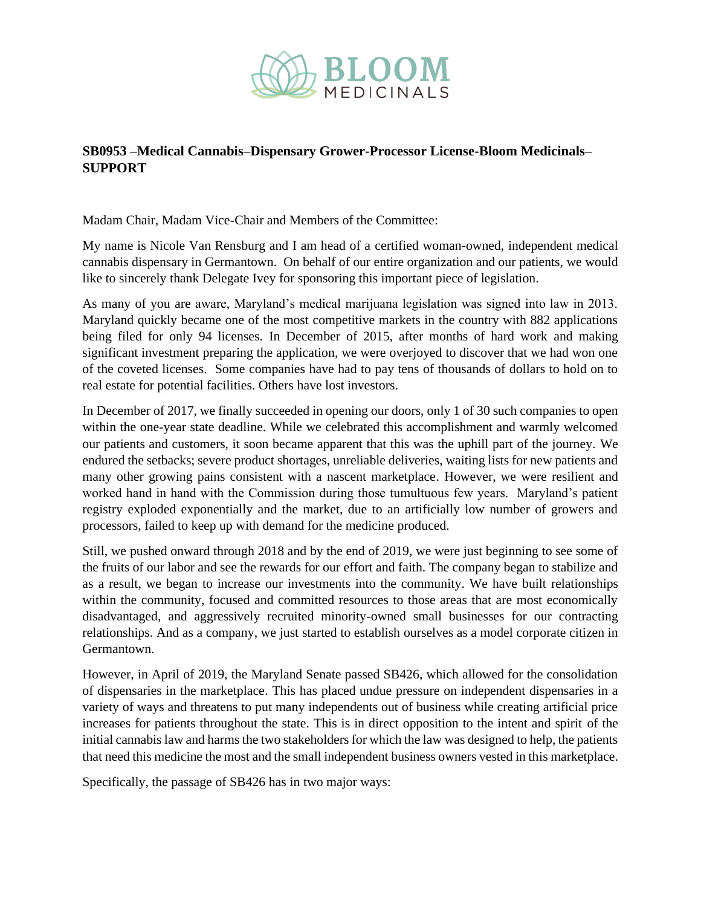

## **SB0953 –Medical Cannabis–Dispensary Grower-Processor License-Bloom Medicinals– SUPPORT**

Madam Chair, Madam Vice-Chair and Members of the Committee:

My name is Nicole Van Rensburg and I am head of a certified woman-owned, independent medical cannabis dispensary in Germantown. On behalf of our entire organization and our patients, we would like to sincerely thank Delegate Ivey for sponsoring this important piece of legislation.

As many of you are aware, Maryland's medical marijuana legislation was signed into law in 2013. Maryland quickly became one of the most competitive markets in the country with 882 applications being filed for only 94 licenses. In December of 2015, after months of hard work and making significant investment preparing the application, we were overjoyed to discover that we had won one of the coveted licenses. Some companies have had to pay tens of thousands of dollars to hold on to real estate for potential facilities. Others have lost investors.

In December of 2017, we finally succeeded in opening our doors, only 1 of 30 such companies to open within the one-year state deadline. While we celebrated this accomplishment and warmly welcomed our patients and customers, it soon became apparent that this was the uphill part of the journey. We endured the setbacks; severe product shortages, unreliable deliveries, waiting lists for new patients and many other growing pains consistent with a nascent marketplace. However, we were resilient and worked hand in hand with the Commission during those tumultuous few years. Maryland's patient registry exploded exponentially and the market, due to an artificially low number of growers and processors, failed to keep up with demand for the medicine produced.

Still, we pushed onward through 2018 and by the end of 2019, we were just beginning to see some of the fruits of our labor and see the rewards for our effort and faith. The company began to stabilize and as a result, we began to increase our investments into the community. We have built relationships within the community, focused and committed resources to those areas that are most economically disadvantaged, and aggressively recruited minority-owned small businesses for our contracting relationships. And as a company, we just started to establish ourselves as a model corporate citizen in Germantown.

However, in April of 2019, the Maryland Senate passed SB426, which allowed for the consolidation of dispensaries in the marketplace. This has placed undue pressure on independent dispensaries in a variety of ways and threatens to put many independents out of business while creating artificial price increases for patients throughout the state. This is in direct opposition to the intent and spirit of the initial cannabis law and harms the two stakeholders for which the law was designed to help, the patients that need this medicine the most and the small independent business owners vested in this marketplace.

Specifically, the passage of SB426 has in two major ways: